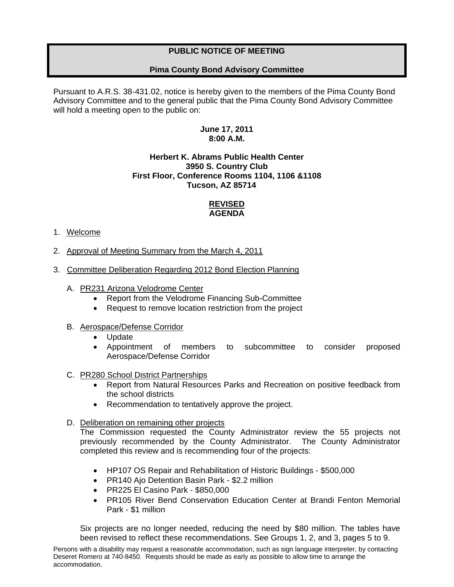# **PUBLIC NOTICE OF MEETING**

# **Pima County Bond Advisory Committee**

Pursuant to A.R.S. 38-431.02, notice is hereby given to the members of the Pima County Bond Advisory Committee and to the general public that the Pima County Bond Advisory Committee will hold a meeting open to the public on:

# **June 17, 2011 8:00 A.M.**

## **Herbert K. Abrams Public Health Center 3950 S. Country Club First Floor, Conference Rooms 1104, 1106 &1108 Tucson, AZ 85714**

# **REVISED AGENDA**

## 1. Welcome

- 2. Approval of Meeting Summary from the March 4, 2011
- 3. Committee Deliberation Regarding 2012 Bond Election Planning
	- A. PR231 Arizona Velodrome Center
		- Report from the Velodrome Financing Sub-Committee
		- Request to remove location restriction from the project

## B. Aerospace/Defense Corridor

- Update
- Appointment of members to subcommittee to consider proposed Aerospace/Defense Corridor

#### C. PR280 School District Partnerships

- Report from Natural Resources Parks and Recreation on positive feedback from the school districts
- Recommendation to tentatively approve the project.

#### D. Deliberation on remaining other projects

The Commission requested the County Administrator review the 55 projects not previously recommended by the County Administrator. The County Administrator completed this review and is recommending four of the projects:

- HP107 OS Repair and Rehabilitation of Historic Buildings \$500,000
- PR140 Ajo Detention Basin Park \$2.2 million
- PR225 El Casino Park \$850,000
- PR105 River Bend Conservation Education Center at Brandi Fenton Memorial Park - \$1 million

Six projects are no longer needed, reducing the need by \$80 million. The tables have been revised to reflect these recommendations. See Groups 1, 2, and 3, pages 5 to 9.

Persons with a disability may request a reasonable accommodation, such as sign language interpreter, by contacting Deseret Romero at 740-8450. Requests should be made as early as possible to allow time to arrange the accommodation.